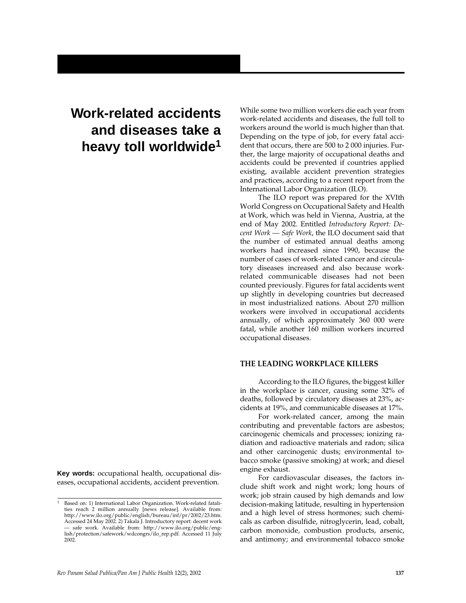# **Work-related accidents and diseases take a heavy toll worldwide1**

**Key words:** occupational health, occupational diseases, occupational accidents, accident prevention.

While some two million workers die each year from work-related accidents and diseases, the full toll to workers around the world is much higher than that. Depending on the type of job, for every fatal accident that occurs, there are 500 to 2 000 injuries. Further, the large majority of occupational deaths and accidents could be prevented if countries applied existing, available accident prevention strategies and practices, according to a recent report from the International Labor Organization (ILO).

The ILO report was prepared for the XVIth World Congress on Occupational Safety and Health at Work, which was held in Vienna, Austria, at the end of May 2002. Entitled *Introductory Report: Decent Work — Safe Work*, the ILO document said that the number of estimated annual deaths among workers had increased since 1990, because the number of cases of work-related cancer and circulatory diseases increased and also because workrelated communicable diseases had not been counted previously. Figures for fatal accidents went up slightly in developing countries but decreased in most industrialized nations. About 270 million workers were involved in occupational accidents annually, of which approximately 360 000 were fatal, while another 160 million workers incurred occupational diseases.

### **THE LEADING WORKPLACE KILLERS**

According to the ILO figures, the biggest killer in the workplace is cancer, causing some 32% of deaths, followed by circulatory diseases at 23%, accidents at 19%, and communicable diseases at 17%.

For work-related cancer, among the main contributing and preventable factors are asbestos; carcinogenic chemicals and processes; ionizing radiation and radioactive materials and radon; silica and other carcinogenic dusts; environmental tobacco smoke (passive smoking) at work; and diesel engine exhaust.

For cardiovascular diseases, the factors include shift work and night work; long hours of work; job strain caused by high demands and low decision-making latitude, resulting in hypertension and a high level of stress hormones; such chemicals as carbon disulfide, nitroglycerin, lead, cobalt, carbon monoxide, combustion products, arsenic, and antimony; and environmental tobacco smoke

<sup>1</sup> Based on: 1) International Labor Organization. Work-related fatalities reach 2 million annually [news release]. Available from: http://www.ilo.org/public/english/bureau/inf/pr/2002/23.htm. Accessed 24 May 2002. 2) Takala J. Introductory report: decent work — safe work. Available from: http://www.ilo.org/public/english/protection/safework/wdcongrs/ilo\_rep.pdf. Accessed 11 July 2002.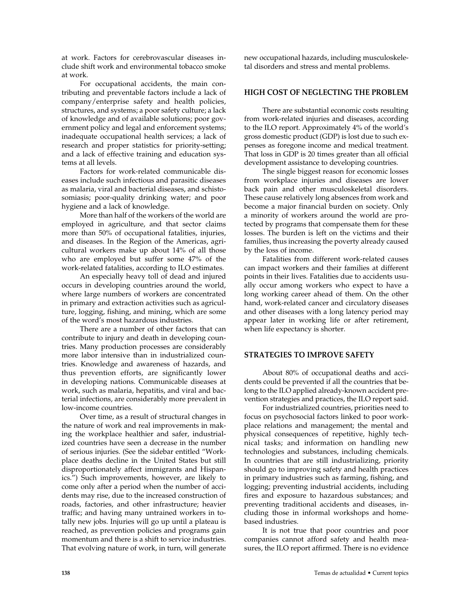at work. Factors for cerebrovascular diseases include shift work and environmental tobacco smoke at work.

For occupational accidents, the main contributing and preventable factors include a lack of company/enterprise safety and health policies, structures, and systems; a poor safety culture; a lack of knowledge and of available solutions; poor government policy and legal and enforcement systems; inadequate occupational health services; a lack of research and proper statistics for priority-setting; and a lack of effective training and education systems at all levels.

Factors for work-related communicable diseases include such infectious and parasitic diseases as malaria, viral and bacterial diseases, and schistosomiasis; poor-quality drinking water; and poor hygiene and a lack of knowledge.

More than half of the workers of the world are employed in agriculture, and that sector claims more than 50% of occupational fatalities, injuries, and diseases. In the Region of the Americas, agricultural workers make up about 14% of all those who are employed but suffer some 47% of the work-related fatalities, according to ILO estimates.

An especially heavy toll of dead and injured occurs in developing countries around the world, where large numbers of workers are concentrated in primary and extraction activities such as agriculture, logging, fishing, and mining, which are some of the word's most hazardous industries.

There are a number of other factors that can contribute to injury and death in developing countries. Many production processes are considerably more labor intensive than in industrialized countries. Knowledge and awareness of hazards, and thus prevention efforts, are significantly lower in developing nations. Communicable diseases at work, such as malaria, hepatitis, and viral and bacterial infections, are considerably more prevalent in low-income countries.

Over time, as a result of structural changes in the nature of work and real improvements in making the workplace healthier and safer, industrialized countries have seen a decrease in the number of serious injuries. (See the sidebar entitled "Workplace deaths decline in the United States but still disproportionately affect immigrants and Hispanics.") Such improvements, however, are likely to come only after a period when the number of accidents may rise, due to the increased construction of roads, factories, and other infrastructure; heavier traffic; and having many untrained workers in totally new jobs. Injuries will go up until a plateau is reached, as prevention policies and programs gain momentum and there is a shift to service industries. That evolving nature of work, in turn, will generate

new occupational hazards, including musculoskeletal disorders and stress and mental problems.

## **HIGH COST OF NEGLECTING THE PROBLEM**

There are substantial economic costs resulting from work-related injuries and diseases, according to the ILO report. Approximately 4% of the world's gross domestic product (GDP) is lost due to such expenses as foregone income and medical treatment. That loss in GDP is 20 times greater than all official development assistance to developing countries.

The single biggest reason for economic losses from workplace injuries and diseases are lower back pain and other musculoskeletal disorders. These cause relatively long absences from work and become a major financial burden on society. Only a minority of workers around the world are protected by programs that compensate them for these losses. The burden is left on the victims and their families, thus increasing the poverty already caused by the loss of income.

Fatalities from different work-related causes can impact workers and their families at different points in their lives. Fatalities due to accidents usually occur among workers who expect to have a long working career ahead of them. On the other hand, work-related cancer and circulatory diseases and other diseases with a long latency period may appear later in working life or after retirement, when life expectancy is shorter.

# **STRATEGIES TO IMPROVE SAFETY**

About 80% of occupational deaths and accidents could be prevented if all the countries that belong to the ILO applied already-known accident prevention strategies and practices, the ILO report said.

For industrialized countries, priorities need to focus on psychosocial factors linked to poor workplace relations and management; the mental and physical consequences of repetitive, highly technical tasks; and information on handling new technologies and substances, including chemicals. In countries that are still industrializing, priority should go to improving safety and health practices in primary industries such as farming, fishing, and logging; preventing industrial accidents, including fires and exposure to hazardous substances; and preventing traditional accidents and diseases, including those in informal workshops and homebased industries.

It is not true that poor countries and poor companies cannot afford safety and health measures, the ILO report affirmed. There is no evidence